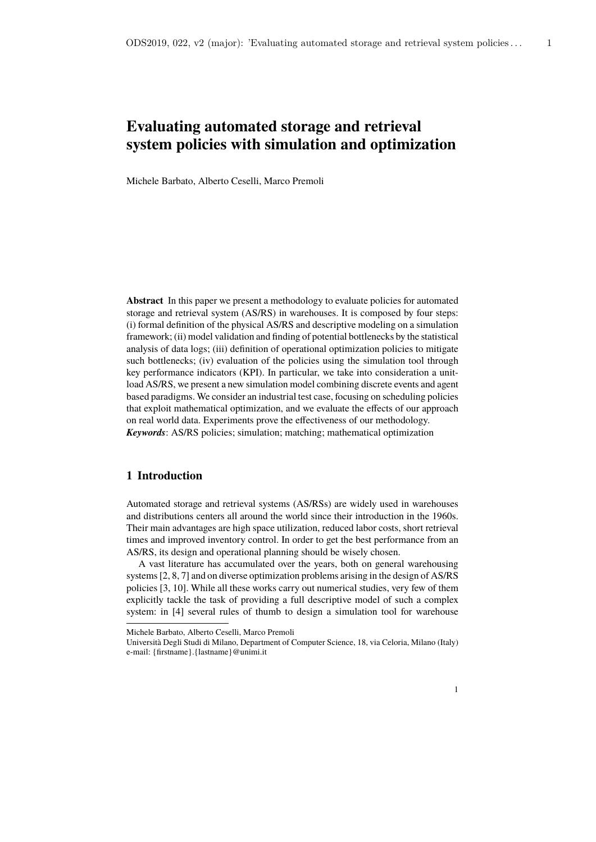# **Evaluating automated storage and retrieval system policies with simulation and optimization**

Michele Barbato, Alberto Ceselli, Marco Premoli

**Abstract** In this paper we present a methodology to evaluate policies for automated storage and retrieval system (AS/RS) in warehouses. It is composed by four steps: (i) formal definition of the physical AS/RS and descriptive modeling on a simulation framework; (ii) model validation and finding of potential bottlenecks by the statistical analysis of data logs; (iii) definition of operational optimization policies to mitigate such bottlenecks; (iv) evaluation of the policies using the simulation tool through key performance indicators (KPI). In particular, we take into consideration a unitload AS/RS, we present a new simulation model combining discrete events and agent based paradigms. We consider an industrial test case, focusing on scheduling policies that exploit mathematical optimization, and we evaluate the effects of our approach on real world data. Experiments prove the effectiveness of our methodology. *Keywords*: AS/RS policies; simulation; matching; mathematical optimization

# **1 Introduction**

Automated storage and retrieval systems (AS/RSs) are widely used in warehouses and distributions centers all around the world since their introduction in the 1960s. Their main advantages are high space utilization, reduced labor costs, short retrieval times and improved inventory control. In order to get the best performance from an AS/RS, its design and operational planning should be wisely chosen.

A vast literature has accumulated over the years, both on general warehousing systems [2, 8, 7] and on diverse optimization problems arising in the design of AS/RS policies [3, 10]. While all these works carry out numerical studies, very few of them explicitly tackle the task of providing a full descriptive model of such a complex system: in [4] several rules of thumb to design a simulation tool for warehouse

Michele Barbato, Alberto Ceselli, Marco Premoli

Università Degli Studi di Milano, Department of Computer Science, 18, via Celoria, Milano (Italy) e-mail: {firstname}.{lastname}@unimi.it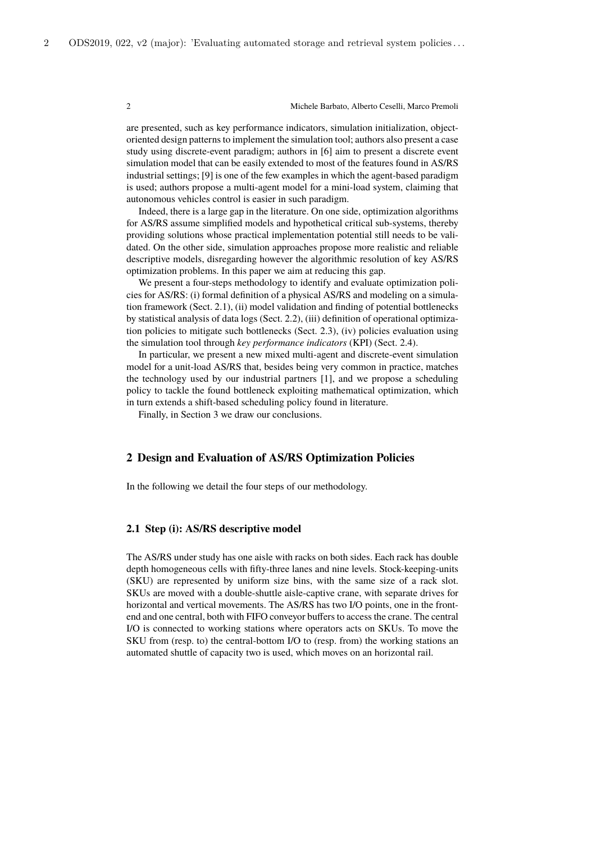are presented, such as key performance indicators, simulation initialization, objectoriented design patterns to implement the simulation tool; authors also present a case study using discrete-event paradigm; authors in [6] aim to present a discrete event simulation model that can be easily extended to most of the features found in AS/RS industrial settings; [9] is one of the few examples in which the agent-based paradigm is used; authors propose a multi-agent model for a mini-load system, claiming that autonomous vehicles control is easier in such paradigm.

Indeed, there is a large gap in the literature. On one side, optimization algorithms for AS/RS assume simplified models and hypothetical critical sub-systems, thereby providing solutions whose practical implementation potential still needs to be validated. On the other side, simulation approaches propose more realistic and reliable descriptive models, disregarding however the algorithmic resolution of key AS/RS optimization problems. In this paper we aim at reducing this gap.

We present a four-steps methodology to identify and evaluate optimization policies for AS/RS: (i) formal definition of a physical AS/RS and modeling on a simulation framework (Sect. 2.1), (ii) model validation and finding of potential bottlenecks by statistical analysis of data logs (Sect. 2.2), (iii) definition of operational optimization policies to mitigate such bottlenecks (Sect. 2.3), (iv) policies evaluation using the simulation tool through *key performance indicators* (KPI) (Sect. 2.4).

In particular, we present a new mixed multi-agent and discrete-event simulation model for a unit-load AS/RS that, besides being very common in practice, matches the technology used by our industrial partners [1], and we propose a scheduling policy to tackle the found bottleneck exploiting mathematical optimization, which in turn extends a shift-based scheduling policy found in literature.

Finally, in Section 3 we draw our conclusions.

# **2 Design and Evaluation of AS/RS Optimization Policies**

In the following we detail the four steps of our methodology.

#### **2.1 Step (i): AS/RS descriptive model**

The AS/RS under study has one aisle with racks on both sides. Each rack has double depth homogeneous cells with fifty-three lanes and nine levels. Stock-keeping-units (SKU) are represented by uniform size bins, with the same size of a rack slot. SKUs are moved with a double-shuttle aisle-captive crane, with separate drives for horizontal and vertical movements. The AS/RS has two I/O points, one in the frontend and one central, both with FIFO conveyor buffers to access the crane. The central I/O is connected to working stations where operators acts on SKUs. To move the SKU from (resp. to) the central-bottom I/O to (resp. from) the working stations an automated shuttle of capacity two is used, which moves on an horizontal rail.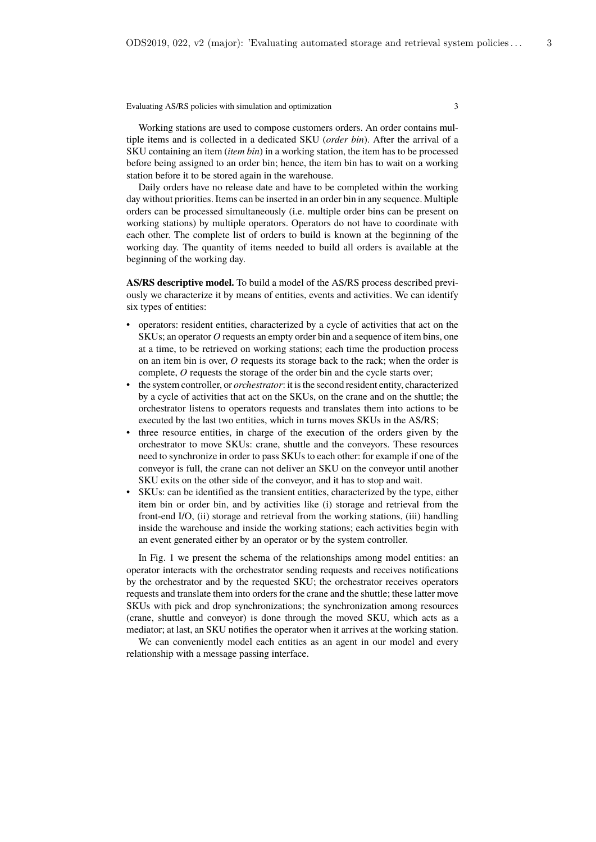Working stations are used to compose customers orders. An order contains multiple items and is collected in a dedicated SKU (*order bin*). After the arrival of a SKU containing an item (*item bin*) in a working station, the item has to be processed before being assigned to an order bin; hence, the item bin has to wait on a working station before it to be stored again in the warehouse.

Daily orders have no release date and have to be completed within the working day without priorities. Items can be inserted in an order bin in any sequence. Multiple orders can be processed simultaneously (i.e. multiple order bins can be present on working stations) by multiple operators. Operators do not have to coordinate with each other. The complete list of orders to build is known at the beginning of the working day. The quantity of items needed to build all orders is available at the beginning of the working day.

**AS/RS descriptive model.** To build a model of the AS/RS process described previously we characterize it by means of entities, events and activities. We can identify six types of entities:

- operators: resident entities, characterized by a cycle of activities that act on the SKUs; an operator *O* requests an empty order bin and a sequence of item bins, one at a time, to be retrieved on working stations; each time the production process on an item bin is over, *O* requests its storage back to the rack; when the order is complete, *O* requests the storage of the order bin and the cycle starts over;
- the system controller, or *orchestrator*: it is the second resident entity, characterized by a cycle of activities that act on the SKUs, on the crane and on the shuttle; the orchestrator listens to operators requests and translates them into actions to be executed by the last two entities, which in turns moves SKUs in the AS/RS;
- three resource entities, in charge of the execution of the orders given by the orchestrator to move SKUs: crane, shuttle and the conveyors. These resources need to synchronize in order to pass SKUs to each other: for example if one of the conveyor is full, the crane can not deliver an SKU on the conveyor until another SKU exits on the other side of the conveyor, and it has to stop and wait.
- SKUs: can be identified as the transient entities, characterized by the type, either item bin or order bin, and by activities like (i) storage and retrieval from the front-end I/O, (ii) storage and retrieval from the working stations, (iii) handling inside the warehouse and inside the working stations; each activities begin with an event generated either by an operator or by the system controller.

In Fig. 1 we present the schema of the relationships among model entities: an operator interacts with the orchestrator sending requests and receives notifications by the orchestrator and by the requested SKU; the orchestrator receives operators requests and translate them into orders for the crane and the shuttle; these latter move SKUs with pick and drop synchronizations; the synchronization among resources (crane, shuttle and conveyor) is done through the moved SKU, which acts as a mediator; at last, an SKU notifies the operator when it arrives at the working station.

We can conveniently model each entities as an agent in our model and every relationship with a message passing interface.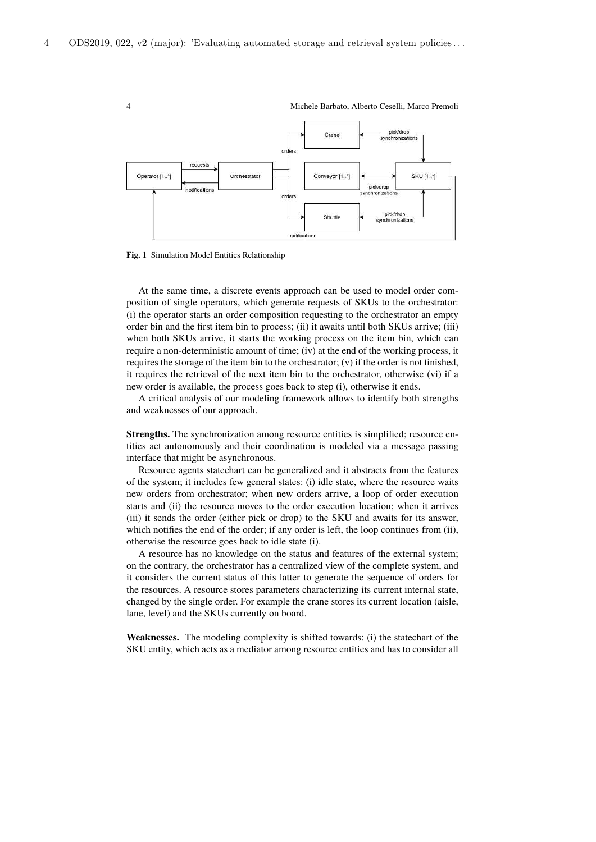

**Fig. 1** Simulation Model Entities Relationship

At the same time, a discrete events approach can be used to model order composition of single operators, which generate requests of SKUs to the orchestrator: (i) the operator starts an order composition requesting to the orchestrator an empty order bin and the first item bin to process; (ii) it awaits until both SKUs arrive; (iii) when both SKUs arrive, it starts the working process on the item bin, which can require a non-deterministic amount of time; (iv) at the end of the working process, it requires the storage of the item bin to the orchestrator; (v) if the order is not finished, it requires the retrieval of the next item bin to the orchestrator, otherwise (vi) if a new order is available, the process goes back to step (i), otherwise it ends.

A critical analysis of our modeling framework allows to identify both strengths and weaknesses of our approach.

**Strengths.** The synchronization among resource entities is simplified; resource entities act autonomously and their coordination is modeled via a message passing interface that might be asynchronous.

Resource agents statechart can be generalized and it abstracts from the features of the system; it includes few general states: (i) idle state, where the resource waits new orders from orchestrator; when new orders arrive, a loop of order execution starts and (ii) the resource moves to the order execution location; when it arrives (iii) it sends the order (either pick or drop) to the SKU and awaits for its answer, which notifies the end of the order; if any order is left, the loop continues from (ii), otherwise the resource goes back to idle state (i).

A resource has no knowledge on the status and features of the external system; on the contrary, the orchestrator has a centralized view of the complete system, and it considers the current status of this latter to generate the sequence of orders for the resources. A resource stores parameters characterizing its current internal state, changed by the single order. For example the crane stores its current location (aisle, lane, level) and the SKUs currently on board.

**Weaknesses.** The modeling complexity is shifted towards: (i) the statechart of the SKU entity, which acts as a mediator among resource entities and has to consider all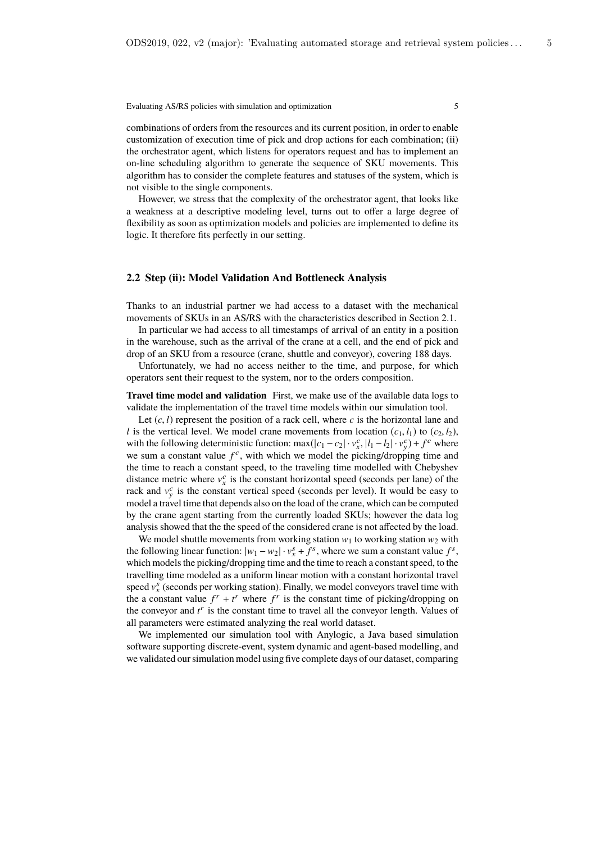combinations of orders from the resources and its current position, in order to enable customization of execution time of pick and drop actions for each combination; (ii) the orchestrator agent, which listens for operators request and has to implement an on-line scheduling algorithm to generate the sequence of SKU movements. This algorithm has to consider the complete features and statuses of the system, which is not visible to the single components.

However, we stress that the complexity of the orchestrator agent, that looks like a weakness at a descriptive modeling level, turns out to offer a large degree of flexibility as soon as optimization models and policies are implemented to define its logic. It therefore fits perfectly in our setting.

#### **2.2 Step (ii): Model Validation And Bottleneck Analysis**

Thanks to an industrial partner we had access to a dataset with the mechanical movements of SKUs in an AS/RS with the characteristics described in Section 2.1.

In particular we had access to all timestamps of arrival of an entity in a position in the warehouse, such as the arrival of the crane at a cell, and the end of pick and drop of an SKU from a resource (crane, shuttle and conveyor), covering 188 days.

Unfortunately, we had no access neither to the time, and purpose, for which operators sent their request to the system, nor to the orders composition.

**Travel time model and validation** First, we make use of the available data logs to validate the implementation of the travel time models within our simulation tool.

Let  $(c, l)$  represent the position of a rack cell, where  $c$  is the horizontal lane and *l* is the vertical level. We model crane movements from location  $(c_1, l_1)$  to  $(c_2, l_2)$ , with the following deterministic function: max( $|c_1 - c_2| \cdot v_x^c$ ,  $|l_1 - l_2| \cdot v_y^c$ ) +  $f^c$  where we sum a constant value  $f^c$ , with which we model the picking/dropping time and the time to reach a constant speed, to the traveling time modelled with Chebyshev distance metric where  $v_x^c$  is the constant horizontal speed (seconds per lane) of the rack and  $v_y^c$  is the constant vertical speed (seconds per level). It would be easy to model a travel time that depends also on the load of the crane, which can be computed by the crane agent starting from the currently loaded SKUs; however the data log analysis showed that the the speed of the considered crane is not affected by the load.

We model shuttle movements from working station  $w_1$  to working station  $w_2$  with the following linear function:  $|w_1 - w_2| \cdot v_x^s + f^s$ , where we sum a constant value  $f^s$ , which models the picking/dropping time and the time to reach a constant speed, to the travelling time modeled as a uniform linear motion with a constant horizontal travel speed  $v_x^s$  (seconds per working station). Finally, we model conveyors travel time with the a constant value  $f^r + t^r$  where  $f^r$  is the constant time of picking/dropping on the conveyor and  $t^r$  is the constant time to travel all the conveyor length. Values of all parameters were estimated analyzing the real world dataset.

We implemented our simulation tool with Anylogic, a Java based simulation software supporting discrete-event, system dynamic and agent-based modelling, and we validated our simulation model using five complete days of our dataset, comparing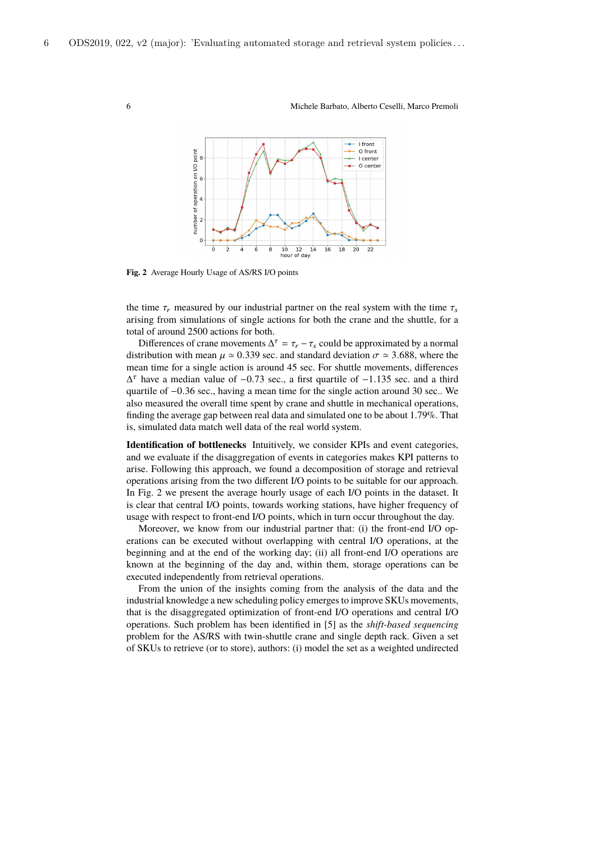

**Fig. 2** Average Hourly Usage of AS/RS I/O points

the time  $\tau_r$  measured by our industrial partner on the real system with the time  $\tau_s$ arising from simulations of single actions for both the crane and the shuttle, for a total of around 2500 actions for both.

Differences of crane movements  $\Delta^{\tau} = \tau_r - \tau_s$  could be approximated by a normal distribution with mean  $\mu \approx 0.339$  sec. and standard deviation  $\sigma \approx 3.688$ , where the mean time for a single action is around 45 sec. For shuttle movements, differences  $\Delta^{\tau}$  have a median value of -0.73 sec., a first quartile of -1.135 sec. and a third quartile of −0.36 sec., having a mean time for the single action around 30 sec.. We also measured the overall time spent by crane and shuttle in mechanical operations, finding the average gap between real data and simulated one to be about 1.79%. That is, simulated data match well data of the real world system.

**Identification of bottlenecks** Intuitively, we consider KPIs and event categories, and we evaluate if the disaggregation of events in categories makes KPI patterns to arise. Following this approach, we found a decomposition of storage and retrieval operations arising from the two different I/O points to be suitable for our approach. In Fig. 2 we present the average hourly usage of each I/O points in the dataset. It is clear that central I/O points, towards working stations, have higher frequency of usage with respect to front-end I/O points, which in turn occur throughout the day.

Moreover, we know from our industrial partner that: (i) the front-end I/O operations can be executed without overlapping with central I/O operations, at the beginning and at the end of the working day; (ii) all front-end I/O operations are known at the beginning of the day and, within them, storage operations can be executed independently from retrieval operations.

From the union of the insights coming from the analysis of the data and the industrial knowledge a new scheduling policy emerges to improve SKUs movements, that is the disaggregated optimization of front-end I/O operations and central I/O operations. Such problem has been identified in [5] as the *shift-based sequencing* problem for the AS/RS with twin-shuttle crane and single depth rack. Given a set of SKUs to retrieve (or to store), authors: (i) model the set as a weighted undirected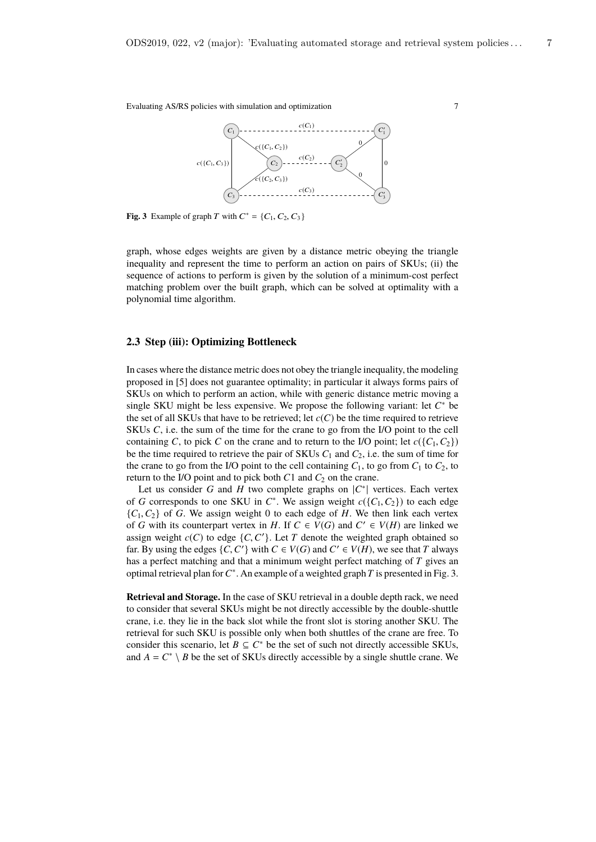

**Fig. 3** Example of graph T with  $C^* = \{C_1, C_2, C_3\}$ 

graph, whose edges weights are given by a distance metric obeying the triangle inequality and represent the time to perform an action on pairs of SKUs; (ii) the sequence of actions to perform is given by the solution of a minimum-cost perfect matching problem over the built graph, which can be solved at optimality with a polynomial time algorithm.

#### **2.3 Step (iii): Optimizing Bottleneck**

In cases where the distance metric does not obey the triangle inequality, the modeling proposed in [5] does not guarantee optimality; in particular it always forms pairs of SKUs on which to perform an action, while with generic distance metric moving a single SKU might be less expensive. We propose the following variant: let *C* <sup>∗</sup> be the set of all SKUs that have to be retrieved; let  $c(C)$  be the time required to retrieve SKUs *C*, i.e. the sum of the time for the crane to go from the I/O point to the cell containing *C*, to pick *C* on the crane and to return to the I/O point; let  $c({C_1, C_2})$ be the time required to retrieve the pair of SKUs  $C_1$  and  $C_2$ , i.e. the sum of time for the crane to go from the I/O point to the cell containing  $C_1$ , to go from  $C_1$  to  $C_2$ , to return to the I/O point and to pick both  $C1$  and  $C_2$  on the crane.

Let us consider *G* and *H* two complete graphs on  $|C^*|$  vertices. Each vertex of *G* corresponds to one SKU in  $C^*$ . We assign weight  $c({C_1, C_2})$  to each edge  ${C_1, C_2}$  of *G*. We assign weight 0 to each edge of *H*. We then link each vertex of *G* with its counterpart vertex in *H*. If  $C \in V(G)$  and  $C' \in V(H)$  are linked we assign weight  $c(C)$  to edge  $\{C, C'\}$ . Let  $T$  denote the weighted graph obtained so far. By using the edges  $\{C, C'\}$  with  $C \in V(G)$  and  $C' \in V(H)$ , we see that *T* always has a perfect matching and that a minimum weight perfect matching of *T* gives an optimal retrieval plan for*C* ∗ . An example of a weighted graph*T* is presented in Fig. 3.

**Retrieval and Storage.** In the case of SKU retrieval in a double depth rack, we need to consider that several SKUs might be not directly accessible by the double-shuttle crane, i.e. they lie in the back slot while the front slot is storing another SKU. The retrieval for such SKU is possible only when both shuttles of the crane are free. To consider this scenario, let  $B \subseteq C^*$  be the set of such not directly accessible SKUs, and  $A = C^* \setminus B$  be the set of SKUs directly accessible by a single shuttle crane. We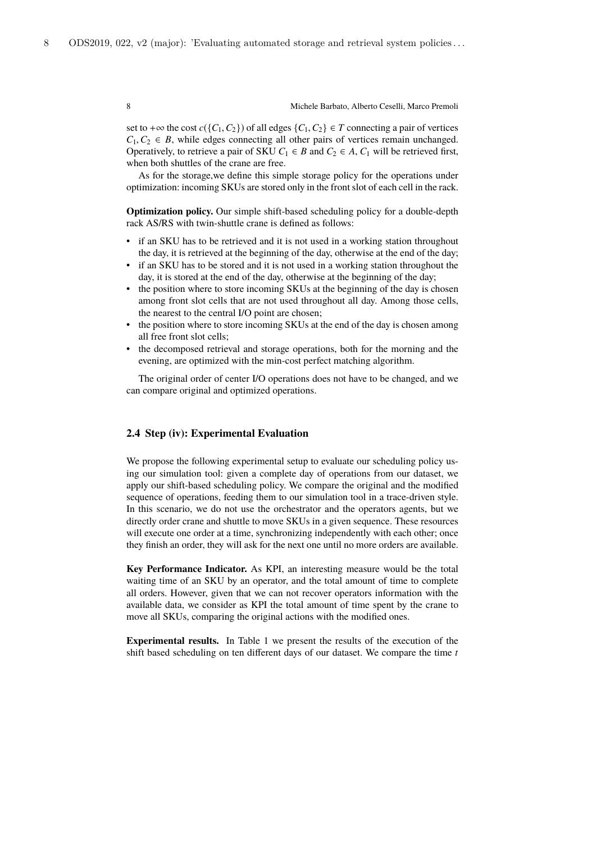set to +∞ the cost  $c({C_1, C_2})$  of all edges  ${C_1, C_2}$  ∈ *T* connecting a pair of vertices  $C_1, C_2 \in B$ , while edges connecting all other pairs of vertices remain unchanged. Operatively, to retrieve a pair of SKU  $C_1 \in B$  and  $C_2 \in A$ ,  $C_1$  will be retrieved first, when both shuttles of the crane are free.

As for the storage,we define this simple storage policy for the operations under optimization: incoming SKUs are stored only in the front slot of each cell in the rack.

**Optimization policy.** Our simple shift-based scheduling policy for a double-depth rack AS/RS with twin-shuttle crane is defined as follows:

- if an SKU has to be retrieved and it is not used in a working station throughout the day, it is retrieved at the beginning of the day, otherwise at the end of the day;
- if an SKU has to be stored and it is not used in a working station throughout the day, it is stored at the end of the day, otherwise at the beginning of the day;
- the position where to store incoming SKUs at the beginning of the day is chosen among front slot cells that are not used throughout all day. Among those cells, the nearest to the central I/O point are chosen;
- the position where to store incoming SKUs at the end of the day is chosen among all free front slot cells;
- the decomposed retrieval and storage operations, both for the morning and the evening, are optimized with the min-cost perfect matching algorithm.

The original order of center I/O operations does not have to be changed, and we can compare original and optimized operations.

# **2.4 Step (iv): Experimental Evaluation**

We propose the following experimental setup to evaluate our scheduling policy using our simulation tool: given a complete day of operations from our dataset, we apply our shift-based scheduling policy. We compare the original and the modified sequence of operations, feeding them to our simulation tool in a trace-driven style. In this scenario, we do not use the orchestrator and the operators agents, but we directly order crane and shuttle to move SKUs in a given sequence. These resources will execute one order at a time, synchronizing independently with each other; once they finish an order, they will ask for the next one until no more orders are available.

**Key Performance Indicator.** As KPI, an interesting measure would be the total waiting time of an SKU by an operator, and the total amount of time to complete all orders. However, given that we can not recover operators information with the available data, we consider as KPI the total amount of time spent by the crane to move all SKUs, comparing the original actions with the modified ones.

**Experimental results.** In Table 1 we present the results of the execution of the shift based scheduling on ten different days of our dataset. We compare the time *t*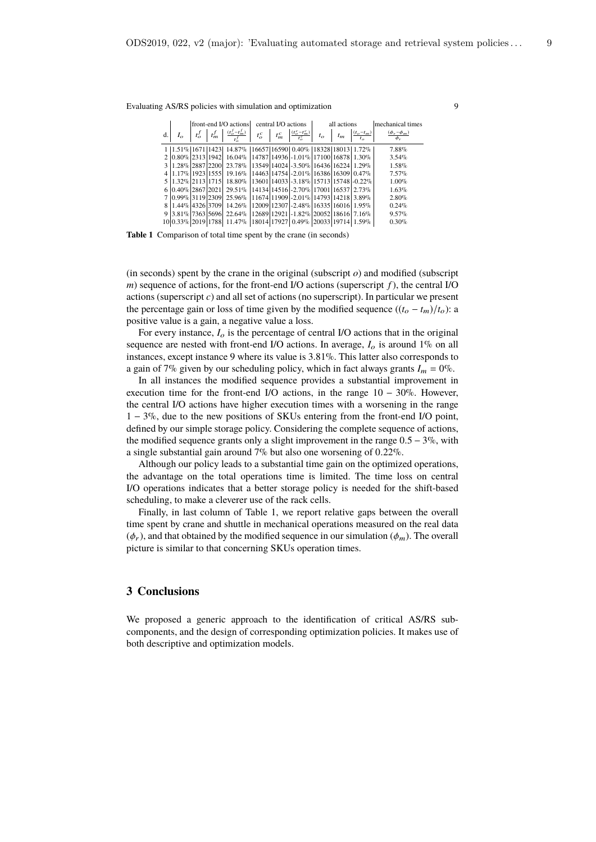|    |                     | front-end I/O actions |         |                                                                                  | central I/O actions |         |                                       | all actions  |       |             | mechanical times                |
|----|---------------------|-----------------------|---------|----------------------------------------------------------------------------------|---------------------|---------|---------------------------------------|--------------|-------|-------------|---------------------------------|
| d. |                     |                       | $t_m^f$ | $(t_o^f-t_m^f)$                                                                  | $t_o^c$             | $t_m^c$ | $\frac{(t_o^c - t_m^c)}{t_o^c}$       | $t_{\alpha}$ | $t_m$ | $(t_o-t_m)$ | $(\phi_r - \phi_m)$<br>$\phi_r$ |
|    |                     |                       |         | 1   1.51%   1671   1423   14.87%   16657   16590   0.40%   18328   18013   1.72% |                     |         |                                       |              |       |             | 7.88%                           |
|    |                     |                       |         | 2 0.80% 2313 1942 16.04% 14787 14936 -1.01% 17100 16878 1.30%                    |                     |         |                                       |              |       |             | $3.54\%$                        |
|    | 3 1.28% 2887 2200   |                       |         | 23.78% 13549 14024 - 3.50% 16436 16224 1.29%                                     |                     |         |                                       |              |       |             | 1.58%                           |
|    | 4 1.17% 1923 1555   |                       |         | 19.16% 14463 14754 - 2.01% 16386 16309 0.47%                                     |                     |         |                                       |              |       |             | $7.57\%$                        |
|    |                     |                       |         | 5 132% 213 1715 18.80% 13601 14033 - 3.18% 15713 15748 - 0.22%                   |                     |         |                                       |              |       |             | 1.00%                           |
|    | 6 0.40% 2867 2021   |                       |         | 29.51% 14134 14516 - 2.70% 1700 1 16537 2.73%                                    |                     |         |                                       |              |       |             | $1.63\%$                        |
|    | 7 0.99% 3119 2309   |                       |         | 25.96% 11674 11909 - 2.01% 14793 14218 3.89%                                     |                     |         |                                       |              |       |             | 2.80%                           |
| 8  | 1.44% 4326 3709     |                       |         | $14.26\%$                                                                        |                     |         | 12009 12307 - 2.48% 16335 16016 1.95% |              |       |             | 0.24%                           |
|    | 9 3.81% 7363 5696   |                       |         | 22.64%                                                                           |                     |         | 12689 12921 - 1.82% 20052 18616 7.16% |              |       |             | $9.57\%$                        |
|    | 1010.33%12019117881 |                       |         | 11.47%                                                                           |                     |         | 18014 17927 0.49% 20033 19714 1.59%   |              |       |             | 0.30%                           |

**Table 1** Comparison of total time spent by the crane (in seconds)

(in seconds) spent by the crane in the original (subscript  $o$ ) and modified (subscript *m*) sequence of actions, for the front-end I/O actions (superscript *f* ), the central I/O actions (superscript *c*) and all set of actions (no superscript). In particular we present the percentage gain or loss of time given by the modified sequence  $((t_o - t_m)/t_o)$ : a positive value is a gain, a negative value a loss.

For every instance, *I*<sup>o</sup> is the percentage of central I/O actions that in the original sequence are nested with front-end I/O actions. In average,  $I<sub>o</sub>$  is around 1% on all instances, except instance 9 where its value is 3.81%. This latter also corresponds to a gain of 7% given by our scheduling policy, which in fact always grants  $I_m = 0\%$ .

In all instances the modified sequence provides a substantial improvement in execution time for the front-end I/O actions, in the range  $10 - 30\%$ . However, the central I/O actions have higher execution times with a worsening in the range 1 − 3%, due to the new positions of SKUs entering from the front-end I/O point, defined by our simple storage policy. Considering the complete sequence of actions, the modified sequence grants only a slight improvement in the range  $0.5 - 3\%$ , with a single substantial gain around 7% but also one worsening of 0.22%.

Although our policy leads to a substantial time gain on the optimized operations, the advantage on the total operations time is limited. The time loss on central I/O operations indicates that a better storage policy is needed for the shift-based scheduling, to make a cleverer use of the rack cells.

Finally, in last column of Table 1, we report relative gaps between the overall time spent by crane and shuttle in mechanical operations measured on the real data  $(\phi_r)$ , and that obtained by the modified sequence in our simulation  $(\phi_m)$ . The overall picture is similar to that concerning SKUs operation times.

#### **3 Conclusions**

We proposed a generic approach to the identification of critical AS/RS subcomponents, and the design of corresponding optimization policies. It makes use of both descriptive and optimization models.